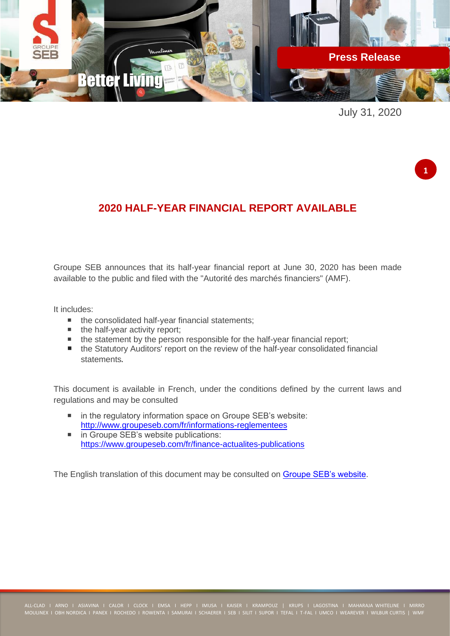

July 31, 2020

**1**

# **2020 HALF-YEAR FINANCIAL REPORT AVAILABLE**

Groupe SEB announces that its half-year financial report at June 30, 2020 has been made available to the public and filed with the "Autorité des marchés financiers" (AMF).

It includes:

- the consolidated half-year financial statements;
- $\blacksquare$  the half-year activity report;
- the statement by the person responsible for the half-year financial report;
- the Statutory Auditors' report on the review of the half-year consolidated financial statements.

This document is available in French, under the conditions defined by the current laws and regulations and may be consulted

- in the regulatory information space on Groupe SEB's website: <http://www.groupeseb.com/fr/informations-reglementees>
- in Groupe SEB's website publications: <https://www.groupeseb.com/fr/finance-actualites-publications>

The English translation of this document may be consulted on [Groupe SEB's website.](https://www.groupeseb.com/en)